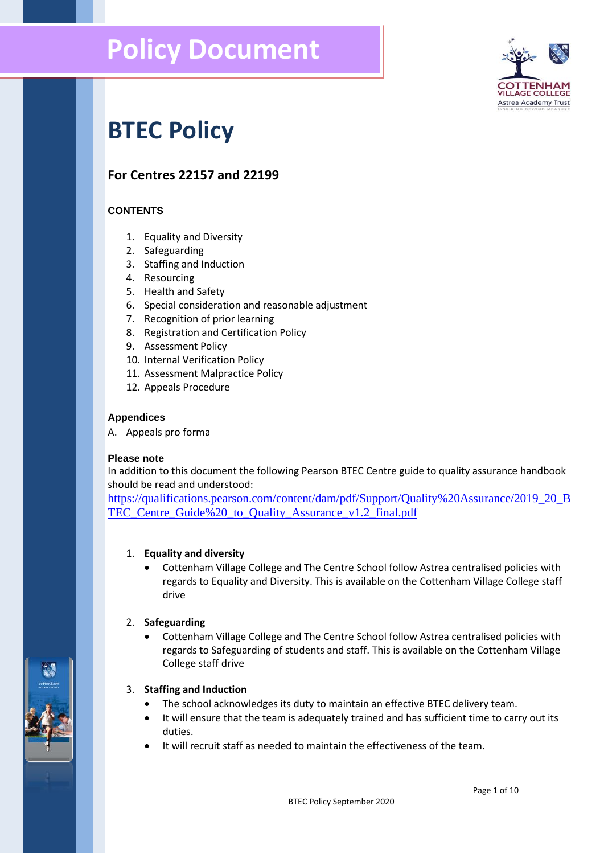

# **BTEC Policy**

# **For Centres 22157 and 22199**

# **CONTENTS**

- 1. Equality and Diversity
- 2. Safeguarding
- 3. Staffing and Induction
- 4. Resourcing
- 5. Health and Safety
- 6. Special consideration and reasonable adjustment
- 7. Recognition of prior learning
- 8. Registration and Certification Policy
- 9. Assessment Policy
- 10. Internal Verification Policy
- 11. Assessment Malpractice Policy
- 12. Appeals Procedure

#### **Appendices**

A. Appeals pro forma

#### **Please note**

In addition to this document the following Pearson BTEC Centre guide to quality assurance handbook should be read and understood:

[https://qualifications.pearson.com/content/dam/pdf/Support/Quality%20Assurance/2019\\_20\\_B](https://qualifications.pearson.com/content/dam/pdf/Support/Quality%20Assurance/2019_20_BTEC_Centre_Guide%20_to_Quality_Assurance_v1.2_final.pdf) TEC Centre Guide%20 to Quality Assurance v1.2 final.pdf

#### 1. **Equality and diversity**

• Cottenham Village College and The Centre School follow Astrea centralised policies with regards to Equality and Diversity. This is available on the Cottenham Village College staff drive

#### 2. **Safeguarding**

• Cottenham Village College and The Centre School follow Astrea centralised policies with regards to Safeguarding of students and staff. This is available on the Cottenham Village College staff drive

#### 3. **Staffing and Induction**

- The school acknowledges its duty to maintain an effective BTEC delivery team.
- It will ensure that the team is adequately trained and has sufficient time to carry out its duties.
- It will recruit staff as needed to maintain the effectiveness of the team.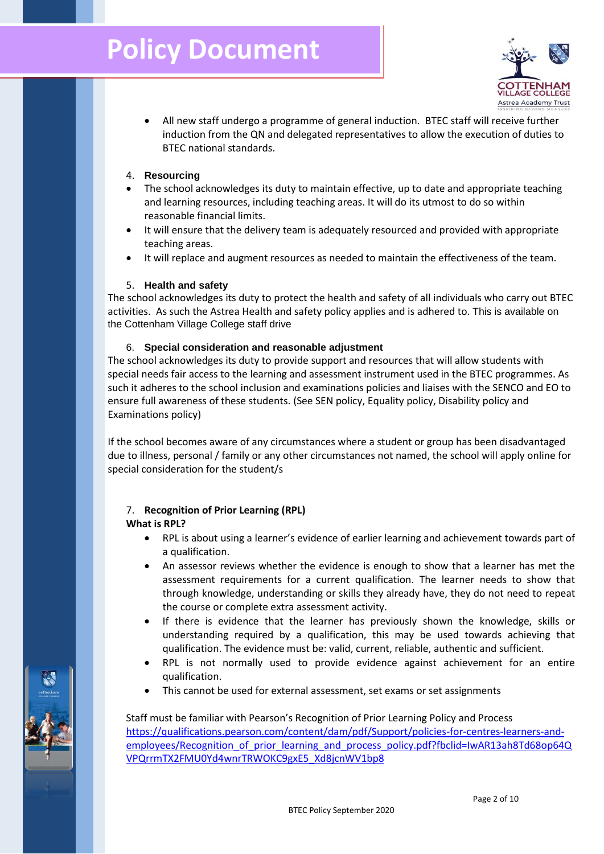

- All new staff undergo a programme of general induction. BTEC staff will receive further induction from the QN and delegated representatives to allow the execution of duties to BTEC national standards.
- 4. **Resourcing**
- The school acknowledges its duty to maintain effective, up to date and appropriate teaching and learning resources, including teaching areas. It will do its utmost to do so within reasonable financial limits.
- It will ensure that the delivery team is adequately resourced and provided with appropriate teaching areas.
- It will replace and augment resources as needed to maintain the effectiveness of the team.

#### 5. **Health and safety**

The school acknowledges its duty to protect the health and safety of all individuals who carry out BTEC activities. As such the Astrea Health and safety policy applies and is adhered to. This is available on the Cottenham Village College staff drive

# 6. **Special consideration and reasonable adjustment**

The school acknowledges its duty to provide support and resources that will allow students with special needs fair access to the learning and assessment instrument used in the BTEC programmes. As such it adheres to the school inclusion and examinations policies and liaises with the SENCO and EO to ensure full awareness of these students. (See SEN policy, Equality policy, Disability policy and Examinations policy)

If the school becomes aware of any circumstances where a student or group has been disadvantaged due to illness, personal / family or any other circumstances not named, the school will apply online for special consideration for the student/s

# 7. **Recognition of Prior Learning (RPL) What is RPL?**

- RPL is about using a learner's evidence of earlier learning and achievement towards part of a qualification.
- An assessor reviews whether the evidence is enough to show that a learner has met the assessment requirements for a current qualification. The learner needs to show that through knowledge, understanding or skills they already have, they do not need to repeat the course or complete extra assessment activity.
- If there is evidence that the learner has previously shown the knowledge, skills or understanding required by a qualification, this may be used towards achieving that qualification. The evidence must be: valid, current, reliable, authentic and sufficient.
- RPL is not normally used to provide evidence against achievement for an entire qualification.
- This cannot be used for external assessment, set exams or set assignments

# Staff must be familiar with Pearson's Recognition of Prior Learning Policy and Process [https://qualifications.pearson.com/content/dam/pdf/Support/policies-for-centres-learners-and](https://qualifications.pearson.com/content/dam/pdf/Support/policies-for-centres-learners-and-employees/Recognition_of_prior_learning_and_process_policy.pdf?fbclid=IwAR13ah8Td68op64QVPQrrmTX2FMU0Yd4wnrTRWOKC9gxE5_Xd8jcnWV1bp8)[employees/Recognition\\_of\\_prior\\_learning\\_and\\_process\\_policy.pdf?fbclid=IwAR13ah8Td68op64Q](https://qualifications.pearson.com/content/dam/pdf/Support/policies-for-centres-learners-and-employees/Recognition_of_prior_learning_and_process_policy.pdf?fbclid=IwAR13ah8Td68op64QVPQrrmTX2FMU0Yd4wnrTRWOKC9gxE5_Xd8jcnWV1bp8) [VPQrrmTX2FMU0Yd4wnrTRWOKC9gxE5\\_Xd8jcnWV1bp8](https://qualifications.pearson.com/content/dam/pdf/Support/policies-for-centres-learners-and-employees/Recognition_of_prior_learning_and_process_policy.pdf?fbclid=IwAR13ah8Td68op64QVPQrrmTX2FMU0Yd4wnrTRWOKC9gxE5_Xd8jcnWV1bp8)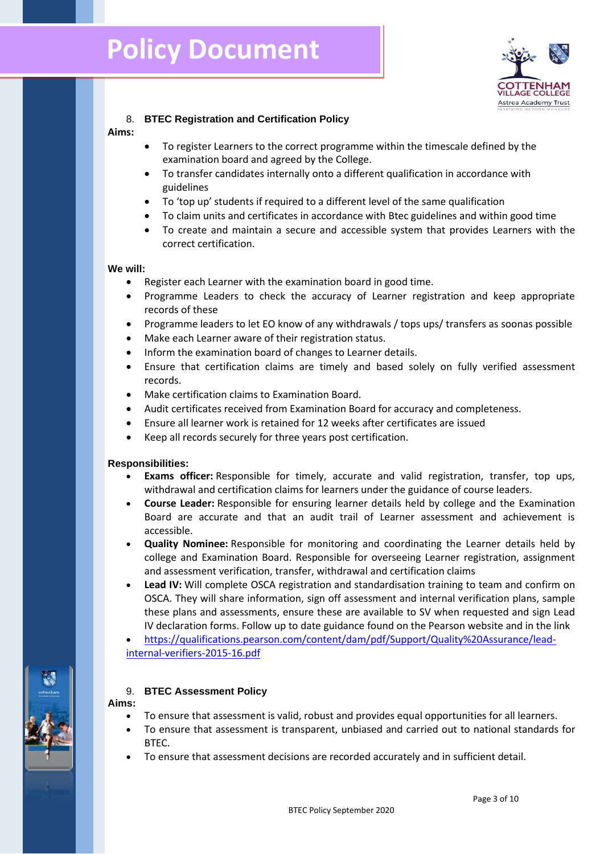

# 8. **BTEC Registration and Certification Policy**

#### **Aims:**

- To register Learners to the correct programme within the timescale defined by the examination board and agreed by the College.
- To transfer candidates internally onto a different qualification in accordance with guidelines
- To 'top up' students if required to a different level of the same qualification
- To claim units and certificates in accordance with Btec guidelines and within good time
- To create and maintain a secure and accessible system that provides Learners with the correct certification.

#### **We will:**

- Register each Learner with the examination board in good time.
- Programme Leaders to check the accuracy of Learner registration and keep appropriate records of these
- Programme leaders to let EO know of any withdrawals / tops ups/ transfers as soonas possible
- Make each Learner aware of their registration status.
- Inform the examination board of changes to Learner details.
- Ensure that certification claims are timely and based solely on fully verified assessment records.
- Make certification claims to Examination Board.
- Audit certificates received from Examination Board for accuracy and completeness.
- Ensure all learner work is retained for 12 weeks after certificates are issued
- Keep all records securely for three years post certification.

#### **Responsibilities:**

- **Exams officer:** Responsible for timely, accurate and valid registration, transfer, top ups, withdrawal and certification claims for learners under the guidance of course leaders.
- **Course Leader:** Responsible for ensuring learner details held by college and the Examination Board are accurate and that an audit trail of Learner assessment and achievement is accessible.
- **Quality Nominee:** Responsible for monitoring and coordinating the Learner details held by college and Examination Board. Responsible for overseeing Learner registration, assignment and assessment verification, transfer, withdrawal and certification claims
- **Lead IV:** Will complete OSCA registration and standardisation training to team and confirm on OSCA. They will share information, sign off assessment and internal verification plans, sample these plans and assessments, ensure these are available to SV when requested and sign Lead IV declaration forms. Follow up to date guidance found on the Pearson website and in the link

• [https://qualifications.pearson.com/content/dam/pdf/Support/Quality%20Assurance/lead](https://qualifications.pearson.com/content/dam/pdf/Support/Quality%20Assurance/lead-internal-verifiers-2015-16.pdf)[internal-verifiers-2015-16.pdf](https://qualifications.pearson.com/content/dam/pdf/Support/Quality%20Assurance/lead-internal-verifiers-2015-16.pdf)

#### 9. **BTEC Assessment Policy**

**Aims:**

- To ensure that assessment is valid, robust and provides equal opportunities for all learners.
- To ensure that assessment is transparent, unbiased and carried out to national standards for BTEC.
- To ensure that assessment decisions are recorded accurately and in sufficient detail.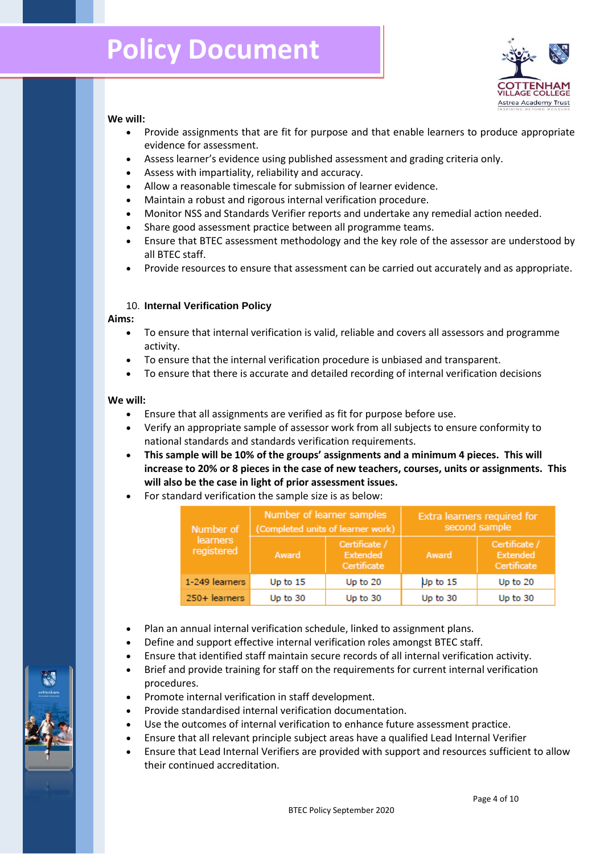

#### **We will:**

- Provide assignments that are fit for purpose and that enable learners to produce appropriate evidence for assessment.
- Assess learner's evidence using published assessment and grading criteria only.
- Assess with impartiality, reliability and accuracy.
- Allow a reasonable timescale for submission of learner evidence.
- Maintain a robust and rigorous internal verification procedure.
- Monitor NSS and Standards Verifier reports and undertake any remedial action needed.
- Share good assessment practice between all programme teams.
- Ensure that BTEC assessment methodology and the key role of the assessor are understood by all BTEC staff.
- Provide resources to ensure that assessment can be carried out accurately and as appropriate.

# 10. **Internal Verification Policy**

#### **Aims:**

- To ensure that internal verification is valid, reliable and covers all assessors and programme activity.
- To ensure that the internal verification procedure is unbiased and transparent.
- To ensure that there is accurate and detailed recording of internal verification decisions

#### **We will:**

- Ensure that all assignments are verified as fit for purpose before use.
- Verify an appropriate sample of assessor work from all subjects to ensure conformity to national standards and standards verification requirements.
- **This sample will be 10% of the groups' assignments and a minimum 4 pieces. This will increase to 20% or 8 pieces in the case of new teachers, courses, units or assignments. This will also be the case in light of prior assessment issues.**
- For standard verification the sample size is as below:

| Number of<br>learners<br>registered | Number of learner samples<br>(Completed units of learner work) |                                          | Extra learners required for<br>second sample |                                          |
|-------------------------------------|----------------------------------------------------------------|------------------------------------------|----------------------------------------------|------------------------------------------|
|                                     | Award                                                          | Certificate /<br>Extended<br>Certificate | Award                                        | Certificate /<br>Extended<br>Certificate |
| 1-249 learners                      | Up to 15                                                       | Up to 20                                 | Up to 15                                     | Up to 20                                 |
| 250+ learners                       | Up to 30                                                       | Up to 30                                 | Up to 30                                     | Up to 30                                 |

- Plan an annual internal verification schedule, linked to assignment plans.
- Define and support effective internal verification roles amongst BTEC staff.
- Ensure that identified staff maintain secure records of all internal verification activity.
- Brief and provide training for staff on the requirements for current internal verification procedures.
- Promote internal verification in staff development.
- Provide standardised internal verification documentation.
- Use the outcomes of internal verification to enhance future assessment practice.
- Ensure that all relevant principle subject areas have a qualified Lead Internal Verifier
- Ensure that Lead Internal Verifiers are provided with support and resources sufficient to allow their continued accreditation.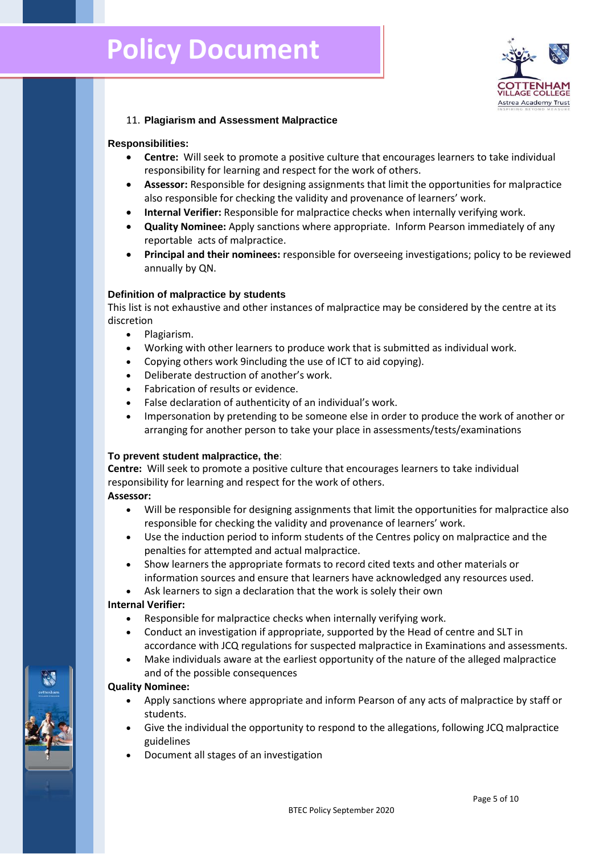

# 11. **Plagiarism and Assessment Malpractice**

#### **Responsibilities:**

- **Centre:** Will seek to promote a positive culture that encourages learners to take individual responsibility for learning and respect for the work of others.
- **Assessor:** Responsible for designing assignments that limit the opportunities for malpractice also responsible for checking the validity and provenance of learners' work.
- **Internal Verifier:** Responsible for malpractice checks when internally verifying work.
- **Quality Nominee:** Apply sanctions where appropriate. Inform Pearson immediately of any reportable acts of malpractice.
- **Principal and their nominees:** responsible for overseeing investigations; policy to be reviewed annually by QN.

#### **Definition of malpractice by students**

This list is not exhaustive and other instances of malpractice may be considered by the centre at its discretion

- Plagiarism.
- Working with other learners to produce work that is submitted as individual work.
- Copying others work 9including the use of ICT to aid copying).
- Deliberate destruction of another's work.
- Fabrication of results or evidence.
- False declaration of authenticity of an individual's work.
- Impersonation by pretending to be someone else in order to produce the work of another or arranging for another person to take your place in assessments/tests/examinations

#### **To prevent student malpractice, the**:

**Centre:** Will seek to promote a positive culture that encourages learners to take individual responsibility for learning and respect for the work of others.

# **Assessor:**

- Will be responsible for designing assignments that limit the opportunities for malpractice also responsible for checking the validity and provenance of learners' work.
- Use the induction period to inform students of the Centres policy on malpractice and the penalties for attempted and actual malpractice.
- Show learners the appropriate formats to record cited texts and other materials or information sources and ensure that learners have acknowledged any resources used.
- Ask learners to sign a declaration that the work is solely their own

#### **Internal Verifier:**

- Responsible for malpractice checks when internally verifying work.
- Conduct an investigation if appropriate, supported by the Head of centre and SLT in accordance with JCQ regulations for suspected malpractice in Examinations and assessments.
- Make individuals aware at the earliest opportunity of the nature of the alleged malpractice and of the possible consequences

#### **Quality Nominee:**

- Apply sanctions where appropriate and inform Pearson of any acts of malpractice by staff or students.
- Give the individual the opportunity to respond to the allegations, following JCQ malpractice guidelines
- Document all stages of an investigation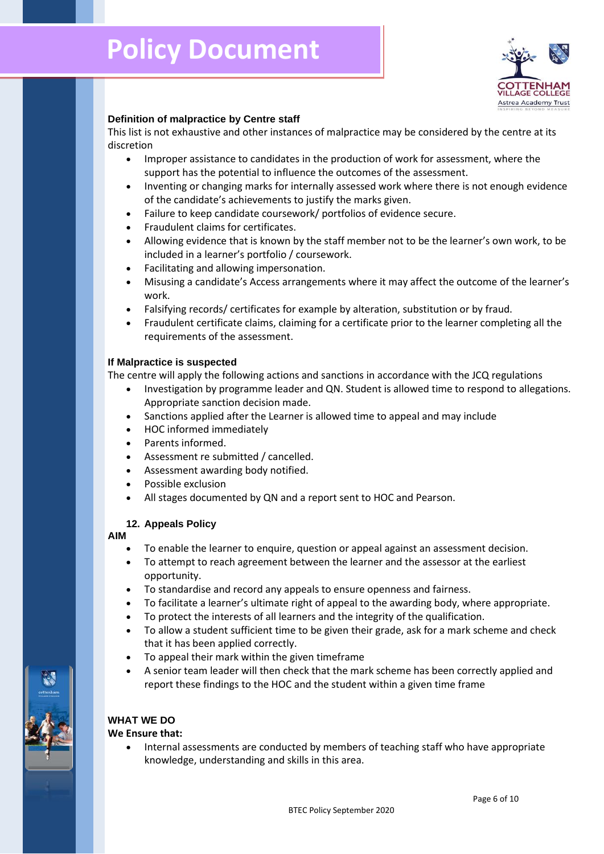

# **Definition of malpractice by Centre staff**

This list is not exhaustive and other instances of malpractice may be considered by the centre at its discretion

- Improper assistance to candidates in the production of work for assessment, where the support has the potential to influence the outcomes of the assessment.
- Inventing or changing marks for internally assessed work where there is not enough evidence of the candidate's achievements to justify the marks given.
- Failure to keep candidate coursework/ portfolios of evidence secure.
- Fraudulent claims for certificates.
- Allowing evidence that is known by the staff member not to be the learner's own work, to be included in a learner's portfolio / coursework.
- Facilitating and allowing impersonation.
- Misusing a candidate's Access arrangements where it may affect the outcome of the learner's work.
- Falsifying records/ certificates for example by alteration, substitution or by fraud.
- Fraudulent certificate claims, claiming for a certificate prior to the learner completing all the requirements of the assessment.

#### **If Malpractice is suspected**

The centre will apply the following actions and sanctions in accordance with the JCQ regulations

- Investigation by programme leader and QN. Student is allowed time to respond to allegations. Appropriate sanction decision made.
- Sanctions applied after the Learner is allowed time to appeal and may include
- HOC informed immediately
- Parents informed.
- Assessment re submitted / cancelled.
- Assessment awarding body notified.
- Possible exclusion
- All stages documented by QN and a report sent to HOC and Pearson.

#### **12. Appeals Policy**

#### **AIM**

- To enable the learner to enquire, question or appeal against an assessment decision.
- To attempt to reach agreement between the learner and the assessor at the earliest opportunity.
- To standardise and record any appeals to ensure openness and fairness.
- To facilitate a learner's ultimate right of appeal to the awarding body, where appropriate.
- To protect the interests of all learners and the integrity of the qualification.
- To allow a student sufficient time to be given their grade, ask for a mark scheme and check that it has been applied correctly.
- To appeal their mark within the given timeframe
- A senior team leader will then check that the mark scheme has been correctly applied and report these findings to the HOC and the student within a given time frame

# **WHAT WE DO**

#### **We Ensure that:**

• Internal assessments are conducted by members of teaching staff who have appropriate knowledge, understanding and skills in this area.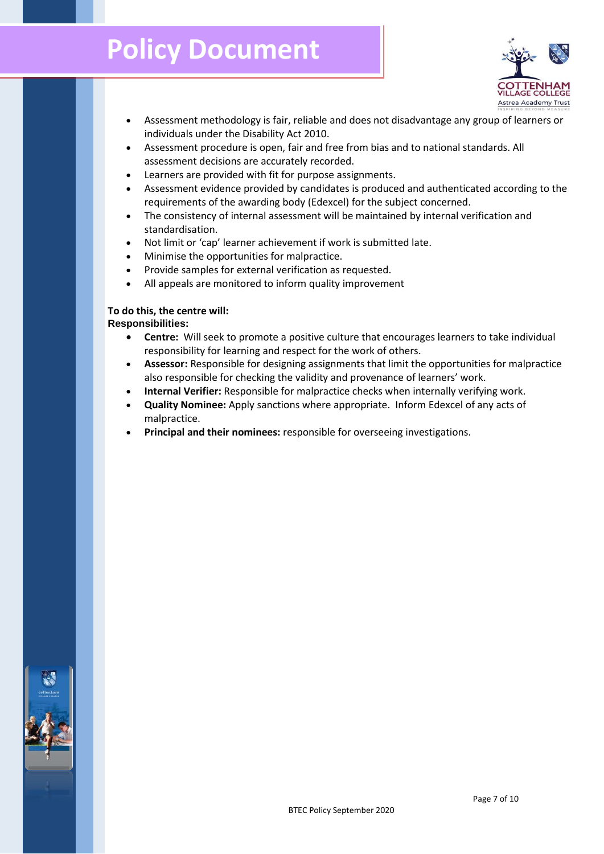

- Assessment methodology is fair, reliable and does not disadvantage any group of learners or individuals under the Disability Act 2010.
- Assessment procedure is open, fair and free from bias and to national standards. All assessment decisions are accurately recorded.
- Learners are provided with fit for purpose assignments.
- Assessment evidence provided by candidates is produced and authenticated according to the requirements of the awarding body (Edexcel) for the subject concerned.
- The consistency of internal assessment will be maintained by internal verification and standardisation.
- Not limit or 'cap' learner achievement if work is submitted late.
- Minimise the opportunities for malpractice.
- Provide samples for external verification as requested.
- All appeals are monitored to inform quality improvement

# **To do this, the centre will:**

#### **Responsibilities:**

- **Centre:** Will seek to promote a positive culture that encourages learners to take individual responsibility for learning and respect for the work of others.
- **Assessor:** Responsible for designing assignments that limit the opportunities for malpractice also responsible for checking the validity and provenance of learners' work.
- **Internal Verifier:** Responsible for malpractice checks when internally verifying work.
- **Quality Nominee:** Apply sanctions where appropriate. Inform Edexcel of any acts of malpractice.
- **Principal and their nominees:** responsible for overseeing investigations.

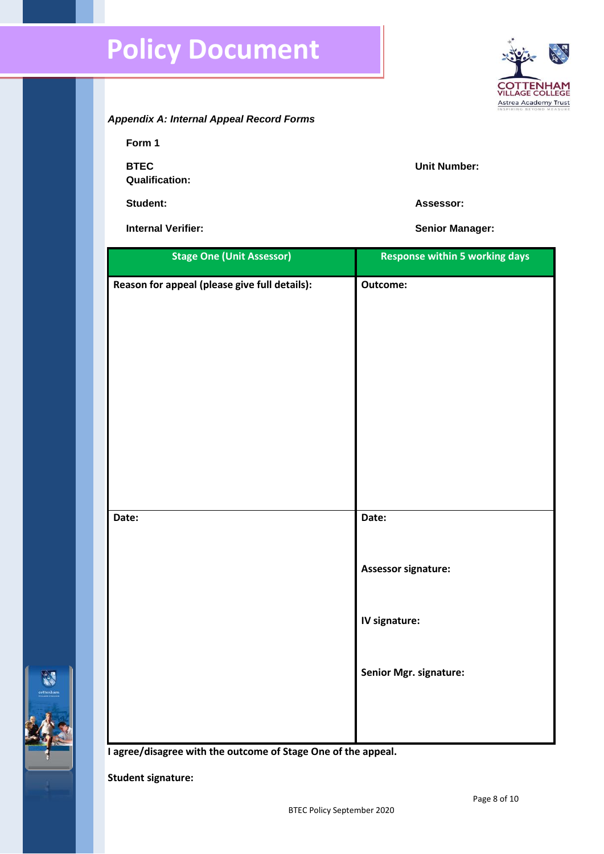

**Form 1**

**BTEC** 

**Unit Number:**

**Student: Assessor:**

**Qualification:**

**Internal Verifier: Senior Manager: Senior Manager:** 

| <b>Stage One (Unit Assessor)</b>              | <b>Response within 5 working days</b> |
|-----------------------------------------------|---------------------------------------|
| Reason for appeal (please give full details): | Outcome:                              |
|                                               |                                       |
|                                               |                                       |
|                                               |                                       |
|                                               |                                       |
|                                               |                                       |
|                                               |                                       |
| Date:                                         | Date:                                 |
|                                               | Assessor signature:                   |
|                                               | IV signature:                         |
|                                               | Senior Mgr. signature:                |
|                                               |                                       |

**I agree/disagree with the outcome of Stage One of the appeal.**

**Student signature:**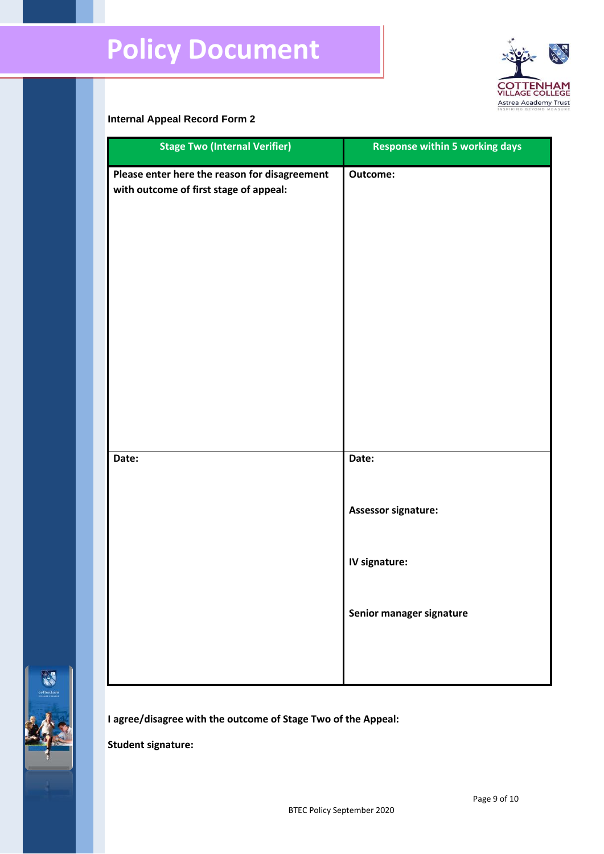

# **Internal Appeal Record Form 2**

| <b>Stage Two (Internal Verifier)</b>                                                    | <b>Response within 5 working days</b> |
|-----------------------------------------------------------------------------------------|---------------------------------------|
| Please enter here the reason for disagreement<br>with outcome of first stage of appeal: | Outcome:                              |
| Date:                                                                                   | Date:<br>Assessor signature:          |
|                                                                                         | IV signature:                         |
|                                                                                         | Senior manager signature              |



**I agree/disagree with the outcome of Stage Two of the Appeal:**

**Student signature:**